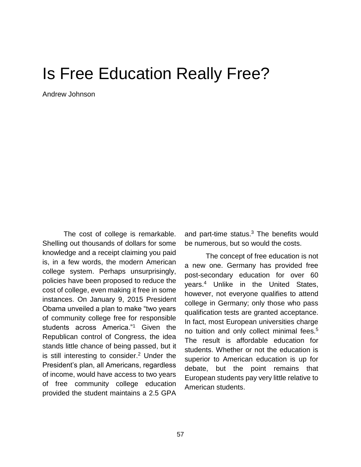## Is Free Education Really Free?

Andrew Johnson

The cost of college is remarkable. Shelling out thousands of dollars for some knowledge and a receipt claiming you paid is, in a few words, the modern American college system. Perhaps unsurprisingly, policies have been proposed to reduce the cost of college, even making it free in some instances. On January 9, 2015 President Obama unveiled a plan to make "two years of community college free for responsible students across America."<sup>1</sup> Given the Republican control of Congress, the idea stands little chance of being passed, but it is still interesting to consider. <sup>2</sup> Under the President's plan, all Americans, regardless of income, would have access to two years of free community college education provided the student maintains a 2.5 GPA

and part-time status.<sup>3</sup> The benefits would be numerous, but so would the costs.

The concept of free education is not a new one. Germany has provided free post-secondary education for over 60 years.<sup>4</sup> Unlike in the United States, however, not everyone qualifies to attend college in Germany; only those who pass qualification tests are granted acceptance. In fact, most European universities charge no tuition and only collect minimal fees.<sup>5</sup> The result is affordable education for students. Whether or not the education is superior to American education is up for debate, but the point remains that European students pay very little relative to American students.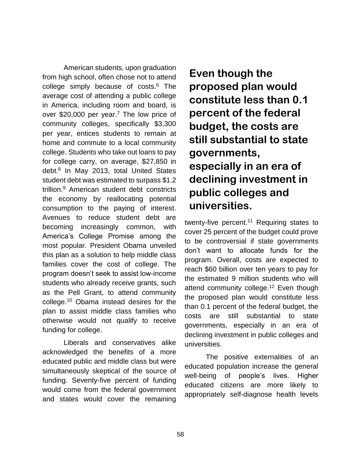American students, upon graduation from high school, often chose not to attend college simply because of costs.<sup>6</sup> The average cost of attending a public college in America, including room and board, is over \$20,000 per year.<sup>7</sup> The low price of community colleges, specifically \$3,300 per year, entices students to remain at home and commute to a local community college. Students who take out loans to pay for college carry, on average, \$27,850 in debt.<sup>8</sup> In May 2013, total United States student debt was estimated to surpass \$1.2 trillion*.* <sup>9</sup> American student debt constricts the economy by reallocating potential consumption to the paying of interest. Avenues to reduce student debt are becoming increasingly common, with America's College Promise among the most popular. President Obama unveiled this plan as a solution to help middle class families cover the cost of college. The program doesn't seek to assist low-income students who already receive grants, such as the Pell Grant, to attend community college.<sup>10</sup> Obama instead desires for the plan to assist middle class families who otherwise would not qualify to receive funding for college.

Liberals and conservatives alike acknowledged the benefits of a more educated public and middle class but were simultaneously skeptical of the source of funding. Seventy-five percent of funding would come from the federal government and states would cover the remaining

## **Even though the proposed plan would constitute less than 0.1 percent of the federal budget, the costs are still substantial to state governments, especially in an era of declining investment in public colleges and universities.**

twenty-five percent.<sup>11</sup> Requiring states to cover 25 percent of the budget could prove to be controversial if state governments don't want to allocate funds for the program. Overall, costs are expected to reach \$60 billion over ten years to pay for the estimated 9 million students who will attend community college.<sup>12</sup> Even though the proposed plan would constitute less than 0.1 percent of the federal budget, the costs are still substantial to state governments, especially in an era of declining investment in public colleges and universities.

The positive externalities of an educated population increase the general well-being of people's lives. Higher educated citizens are more likely to appropriately self-diagnose health levels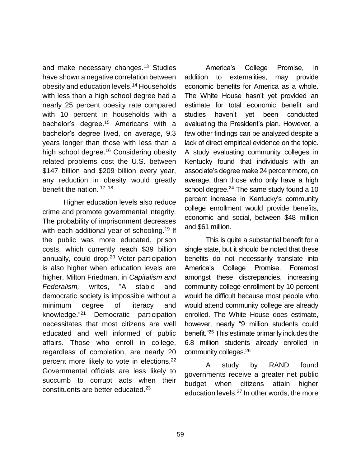and make necessary changes.<sup>13</sup> Studies have shown a negative correlation between obesity and education levels.<sup>14</sup> Households with less than a high school degree had a nearly 25 percent obesity rate compared with 10 percent in households with a bachelor's degree.<sup>15</sup> Americans with a bachelor's degree lived, on average, 9.3 years longer than those with less than a high school degree.<sup>16</sup> Considering obesity related problems cost the U.S. between \$147 billion and \$209 billion every year, any reduction in obesity would greatly benefit the nation. 17, 18

Higher education levels also reduce crime and promote governmental integrity. The probability of imprisonment decreases with each additional year of schooling.<sup>19</sup> If the public was more educated, prison costs, which currently reach \$39 billion annually, could drop. <sup>20</sup> Voter participation is also higher when education levels are higher. Milton Friedman, in *Capitalism and Federalism,* writes, "A stable and democratic society is impossible without a minimum degree of literacy and knowledge."<sup>21</sup> Democratic participation necessitates that most citizens are well educated and well informed of public affairs. Those who enroll in college, regardless of completion, are nearly 20 percent more likely to vote in elections.<sup>22</sup> Governmental officials are less likely to succumb to corrupt acts when their constituents are better educated. $23$ 

America's College Promise, in addition to externalities, may provide economic benefits for America as a whole. The White House hasn't yet provided an estimate for total economic benefit and studies haven't yet been conducted evaluating the President's plan. However, a few other findings can be analyzed despite a lack of direct empirical evidence on the topic. A study evaluating community colleges in Kentucky found that individuals with an associate's degree make 24 percent more, on average, than those who only have a high school degree. $^{24}$  The same study found a 10 percent increase in Kentucky's community college enrollment would provide benefits, economic and social, between \$48 million and \$61 million.

This is quite a substantial benefit for a single state, but it should be noted that these benefits do not necessarily translate into America's College Promise. Foremost amongst these discrepancies, increasing community college enrollment by 10 percent would be difficult because most people who would attend community college are already enrolled. The White House does estimate, however, nearly "9 million students could benefit."<sup>25</sup> This estimate primarily includes the 6.8 million students already enrolled in community colleges.<sup>26</sup>

A study by RAND found governments receive a greater net public budget when citizens attain higher education levels.<sup>27</sup> In other words, the more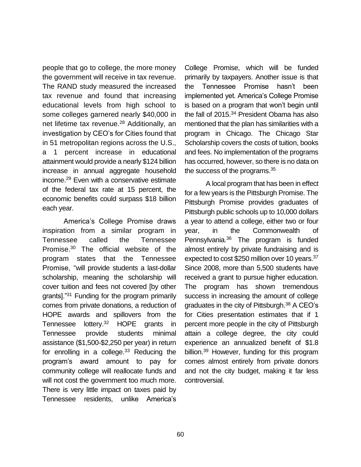people that go to college, the more money the government will receive in tax revenue. The RAND study measured the increased tax revenue and found that increasing educational levels from high school to some colleges garnered nearly \$40,000 in net lifetime tax revenue.<sup>28</sup> Additionally, an investigation by CEO's for Cities found that in 51 metropolitan regions across the U.S., a 1 percent increase in educational attainment would provide a nearly \$124 billion increase in annual aggregate household income.<sup>29</sup> Even with a conservative estimate of the federal tax rate at 15 percent, the economic benefits could surpass \$18 billion each year.

America's College Promise draws inspiration from a similar program in Tennessee called the Tennessee Promise.<sup>30</sup> The official website of the program states that the Tennessee Promise, "will provide students a last-dollar scholarship, meaning the scholarship will cover tuition and fees not covered [by other grants]."<sup>31</sup> Funding for the program primarily comes from private donations, a reduction of HOPE awards and spillovers from the Tennessee lottery.<sup>32</sup> HOPE grants in Tennessee provide students minimal assistance (\$1,500-\$2,250 per year) in return for enrolling in a college. $33$  Reducing the program's award amount to pay for community college will reallocate funds and will not cost the government too much more. There is very little impact on taxes paid by Tennessee residents, unlike America's

College Promise, which will be funded primarily by taxpayers. Another issue is that the Tennessee Promise hasn't been implemented yet. America's College Promise is based on a program that won't begin until the fall of 2015.<sup>34</sup> President Obama has also mentioned that the plan has similarities with a program in Chicago. The Chicago Star Scholarship covers the costs of tuition, books and fees. No implementation of the programs has occurred, however, so there is no data on the success of the programs.<sup>35</sup>

A local program that has been in effect for a few years is the Pittsburgh Promise. The Pittsburgh Promise provides graduates of Pittsburgh public schools up to 10,000 dollars a year to attend a college, either two or four year, in the Commonwealth of Pennsylvania.<sup>36</sup> The program is funded almost entirely by private fundraising and is expected to cost \$250 million over 10 years.<sup>37</sup> Since 2008, more than 5,500 students have received a grant to pursue higher education. The program has shown tremendous success in increasing the amount of college graduates in the city of Pittsburgh.<sup>38</sup> A CEO's for Cities presentation estimates that if 1 percent more people in the city of Pittsburgh attain a college degree, the city could experience an annualized benefit of \$1.8 billion.<sup>39</sup> However, funding for this program comes almost entirely from private donors and not the city budget, making it far less controversial.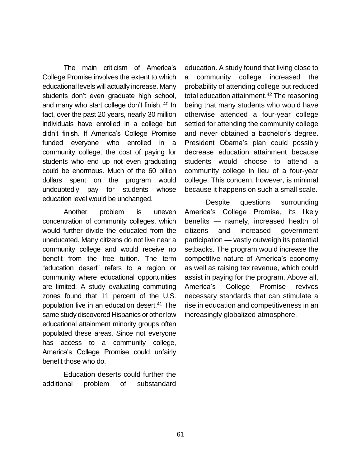The main criticism of America's College Promise involves the extent to which educational levels will actually increase. Many students don't even graduate high school, and many who start college don't finish. <sup>40</sup> In fact, over the past 20 years, nearly 30 million individuals have enrolled in a college but didn't finish. If America's College Promise funded everyone who enrolled in a community college, the cost of paying for students who end up not even graduating could be enormous. Much of the 60 billion dollars spent on the program would undoubtedly pay for students whose education level would be unchanged.

Another problem is uneven concentration of community colleges, which would further divide the educated from the uneducated. Many citizens do not live near a community college and would receive no benefit from the free tuition. The term "education desert" refers to a region or community where educational opportunities are limited. A study evaluating commuting zones found that 11 percent of the U.S. population live in an education desert.<sup>41</sup> The same study discovered Hispanics or other low educational attainment minority groups often populated these areas. Since not everyone has access to a community college, America's College Promise could unfairly benefit those who do.

Education deserts could further the additional problem of substandard education. A study found that living close to a community college increased the probability of attending college but reduced total education attainment. <sup>42</sup> The reasoning being that many students who would have otherwise attended a four-year college settled for attending the community college and never obtained a bachelor's degree. President Obama's plan could possibly decrease education attainment because students would choose to attend a community college in lieu of a four-year college. This concern, however, is minimal because it happens on such a small scale.

Despite questions surrounding America's College Promise, its likely benefits — namely, increased health of citizens and increased government participation — vastly outweigh its potential setbacks. The program would increase the competitive nature of America's economy as well as raising tax revenue, which could assist in paying for the program. Above all, America's College Promise revives necessary standards that can stimulate a rise in education and competitiveness in an increasingly globalized atmosphere.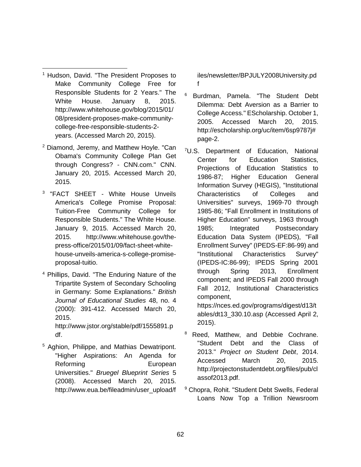- <sup>1</sup> Hudson, David. "The President Proposes to Make Community College Free for Responsible Students for 2 Years." The White House. January 8, 2015. [http://www.whitehouse.gov/blog/2015/01/](http://www.whitehouse.gov/blog/2015/01/08/president-proposes-make-community-college-free-responsible-students-2-years) [08/president-proposes-make-community](http://www.whitehouse.gov/blog/2015/01/08/president-proposes-make-community-college-free-responsible-students-2-years)[college-free-responsible-students-2](http://www.whitehouse.gov/blog/2015/01/08/president-proposes-make-community-college-free-responsible-students-2-years) [years.](http://www.whitehouse.gov/blog/2015/01/08/president-proposes-make-community-college-free-responsible-students-2-years) (Accessed March 20, 2015).  $\overline{\phantom{a}}$
- <sup>2</sup> [Diamond, Jeremy, and Matthew Hoyle. "Can](http://www.cnn.com/2015/01/09/politics/obama-community-college-fate/)  [Obama's Community College Plan Get](http://www.cnn.com/2015/01/09/politics/obama-community-college-fate/)  [through Congress? -](http://www.cnn.com/2015/01/09/politics/obama-community-college-fate/) CNN.com." CNN. [January 20, 2015. Accessed March 20,](http://www.cnn.com/2015/01/09/politics/obama-community-college-fate/)  [2015.](http://www.cnn.com/2015/01/09/politics/obama-community-college-fate/)
- 3 "FACT SHEET White House Unveils America's College Promise Proposal: Tuition-Free Community College for Responsible Students." The White House. January 9, 2015. Accessed March 20, 2015. http://www.whitehouse.gov/thepress-office/2015/01/09/fact-sheet-whitehouse-unveils-america-s-college-promiseproposal-tuitio.
- <sup>4</sup> Phillips, David. "The Enduring Nature of the Tripartite System of Secondary Schooling in Germany: Some Explanations." *British Journal of Educational Studies* 48, no. 4 (2000): 391-412. Accessed March 20, 2015. http://www.jstor.org/stable/pdf/1555891.p

df.

<sup>5</sup> Aghion, Philippe, and Mathias Dewatripont. "Higher Aspirations: An Agenda for Reforming **European** Universities." *Bruegel Blueprint Series* 5 (2008). Accessed March 20, 2015. http://www.eua.be/fileadmin/user\_upload/f

iles/newsletter/BPJULY2008University.pd f

- <sup>6</sup> Burdman, Pamela. "The Student Debt Dilemma: Debt Aversion as a Barrier to College Access." EScholarship. October 1, 2005. Accessed March 20, 2015. http://escholarship.org/uc/item/6sp9787j# page-2.
- <sup>7</sup>U.S. Department of Education, National Center for Education Statistics, Projections of Education Statistics to 1986-87; Higher Education General Information Survey (HEGIS), "Institutional Characteristics of Colleges and Universities" surveys, 1969-70 through 1985-86; "Fall Enrollment in Institutions of Higher Education" surveys, 1963 through 1985; Integrated Postsecondary Education Data System (IPEDS), "Fall Enrollment Survey" (IPEDS-EF:86-99) and "Institutional Characteristics Survey" (IPEDS-IC:86-99); IPEDS Spring 2001 through Spring 2013, Enrollment component; and IPEDS Fall 2000 through Fall 2012, Institutional Characteristics component, [https://nces.ed.gov/programs/digest/d13/t](https://nces.ed.gov/programs/digest/d13/tables/dt13_330.10.asp)

[ables/dt13\\_330.10.asp](https://nces.ed.gov/programs/digest/d13/tables/dt13_330.10.asp) (Accessed April 2, 2015).

- <sup>8</sup> Reed. Matthew, and Debbie Cochrane. "Student Debt and the Class of 2013." *Project on Student Debt*, 2014. Accessed March 20, 2015. http://projectonstudentdebt.org/files/pub/cl assof2013.pdf.
- <sup>9</sup> Chopra, Rohit. "Student Debt Swells, Federal Loans Now Top a Trillion Newsroom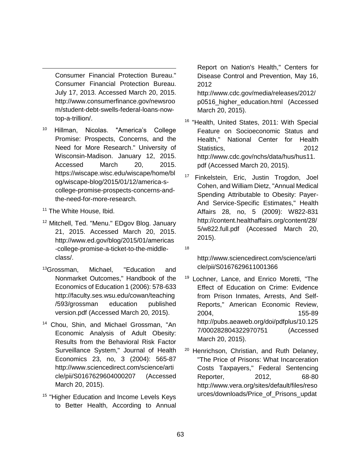Consumer Financial Protection Bureau." Consumer Financial Protection Bureau. July 17, 2013. Accessed March 20, 2015. http://www.consumerfinance.gov/newsroo m/student-debt-swells-federal-loans-nowtop-a-trillion/.

- Hillman, Nicolas, "America's College Promise: Prospects, Concerns, and the Need for More Research." University of Wisconsin-Madison. January 12, 2015. Accessed March 20, 2015. https://wiscape.wisc.edu/wiscape/home/bl og/wiscape-blog/2015/01/12/america-scollege-promise-prospects-concerns-andthe-need-for-more-research.
- <sup>11</sup> The White House, Ibid.

 $\overline{\phantom{a}}$ 

- <sup>12</sup> Mitchell, Ted. "Menu." EDgov Blog. January 21, 2015. Accessed March 20, 2015. http://www.ed.gov/blog/2015/01/americas -college-promise-a-ticket-to-the-middleclass/.
- <sup>13</sup>Grossman, Michael, "Education and Nonmarket Outcomes," Handbook of the Economics of Education 1 (2006): 578-633 http://faculty.ses.wsu.edu/cowan/teaching /593/grossman education published version.pdf (Accessed March 20, 2015).
- <sup>14</sup> Chou, Shin, and Michael Grossman, "An Economic Analysis of Adult Obesity: Results from the Behavioral Risk Factor Surveillance System," Journal of Health Economics 23, no, 3 (2004): 565-87 http://www.sciencedirect.com/science/arti cle/pii/S0167629604000207 (Accessed March 20, 2015).
- <sup>15</sup> "Higher Education and Income Levels Keys to Better Health, According to Annual

Report on Nation's Health," Centers for Disease Control and Prevention, May 16, 2012

http://www.cdc.gov/media/releases/2012/ p0516\_higher\_education.html (Accessed March 20, 2015).

- <sup>16</sup> "Health, United States, 2011: With Special Feature on Socioeconomic Status and Health," National Center for Health Statistics. 2012 http://www.cdc.gov/nchs/data/hus/hus11. pdf (Accessed March 20, 2015).
- <sup>17</sup> Finkelstein, Eric, Justin Trogdon, Joel Cohen, and William Dietz, "Annual Medical Spending Attributable to Obesity: Payer-And Service-Specific Estimates," Health Affairs 28, no, 5 (2009): W822-831 http://content.healthaffairs.org/content/28/ 5/w822.full.pdf (Accessed March 20, 2015).

18

[http://www.sciencedirect.com/science/arti](http://www.sciencedirect.com/science/article/pii/S0167629611001366) [cle/pii/S0167629611001366](http://www.sciencedirect.com/science/article/pii/S0167629611001366)

- <sup>19</sup> Lochner, Lance, and Enrico Moretti, "The Effect of Education on Crime: Evidence from Prison Inmates, Arrests, And Self-Reports," American Economic Review, 2004, 155-89 http://pubs.aeaweb.org/doi/pdfplus/10.125 7/000282804322970751 (Accessed March 20, 2015).
- <sup>20</sup> Henrichson, Christian, and Ruth Delaney, "The Price of Prisons: What Incarceration Costs Taxpayers," Federal Sentencing Reporter, 2012, 68-80 http://www.vera.org/sites/default/files/reso urces/downloads/Price\_of\_Prisons\_updat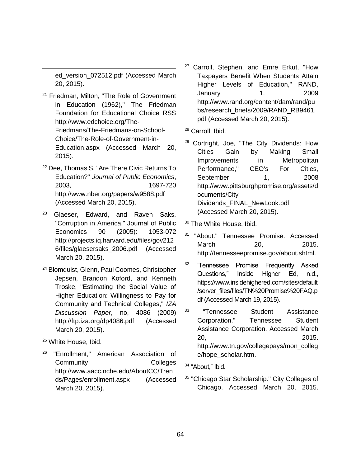ed\_version\_072512.pdf (Accessed March 20, 2015).

 $\overline{\phantom{a}}$ 

- <sup>21</sup> Friedman, Milton, "The Role of Government in Education (1962)," The Friedman Foundation for Educational Choice RSS http://www.edchoice.org/The-Friedmans/The-Friedmans-on-School-Choice/The-Role-of-Government-in-Education.aspx (Accessed March 20, 2015).
- <sup>22</sup> Dee, Thomas S, "Are There Civic Returns To Education?" *Journal of Public Economics*, 2003, 1697-720 <http://www.nber.org/papers/w9588.pdf> (Accessed March 20, 2015).
- <sup>23</sup> Glaeser, Edward, and Raven Saks, "Corruption in America," Journal of Public Economics 90 (2005): 1053-072 http://projects.iq.harvard.edu/files/gov212 6/files/glaesersaks\_2006.pdf (Accessed March 20, 2015).
- <sup>24</sup> Blomquist, Glenn, Paul Coomes, Christopher Jepsen, Brandon Koford, and Kenneth Troske, "Estimating the Social Value of Higher Education: Willingness to Pay for Community and Technical Colleges," *IZA Discussion Paper*, no, 4086 (2009) <http://ftp.iza.org/dp4086.pdf> (Accessed March 20, 2015).
- <sup>25</sup> White House, Ibid.
- <sup>26</sup> "Enrollment," American Association of Community Colleges [http://www.aacc.nche.edu/AboutCC/Tren](http://www.aacc.nche.edu/AboutCC/Trends/Pages/enrollment.aspx) [ds/Pages/enrollment.aspx](http://www.aacc.nche.edu/AboutCC/Trends/Pages/enrollment.aspx) (Accessed March 20, 2015).
- <sup>27</sup> Carroll, Stephen, and Emre Erkut, "How Taxpayers Benefit When Students Attain Higher Levels of Education," RAND, January 1, 2009 http://www.rand.org/content/dam/rand/pu bs/research\_briefs/2009/RAND\_RB9461. pdf (Accessed March 20, 2015).
- <sup>28</sup> Carroll, Ibid.
- <sup>29</sup> Cortright, Joe, "The City Dividends: How Cities Gain by Making Small Improvements in Metropolitan Performance," CEO's For Cities, September 1. 2008 http://www.pittsburghpromise.org/assets/d ocuments/City Dividends\_FINAL\_NewLook.pdf (Accessed March 20, 2015).

<sup>30</sup> The White House, Ibid.

- <sup>31</sup> "About." Tennessee Promise. Accessed March 20, 2015. http://tennesseepromise.gov/about.shtml.
- <sup>32</sup> "Tennessee Promise Frequently Asked Questions," Inside Higher Ed, n.d., [https://www.insidehighered.com/sites/default](https://www.insidehighered.com/sites/default/server_files/files/TN%20Promise%20FAQ.pdf) [/server\\_files/files/TN%20Promise%20FAQ.p](https://www.insidehighered.com/sites/default/server_files/files/TN%20Promise%20FAQ.pdf) [df](https://www.insidehighered.com/sites/default/server_files/files/TN%20Promise%20FAQ.pdf) (Accessed March 19, 2015).
- <sup>33</sup> "Tennessee Student Assistance Corporation." Tennessee Student Assistance Corporation. Accessed March 20, 2015. http://www.tn.gov/collegepays/mon\_colleg e/hope\_scholar.htm.
- <sup>34</sup> "About," Ibid.
- <sup>35</sup> "Chicago Star Scholarship." City Colleges of Chicago. Accessed March 20, 2015.